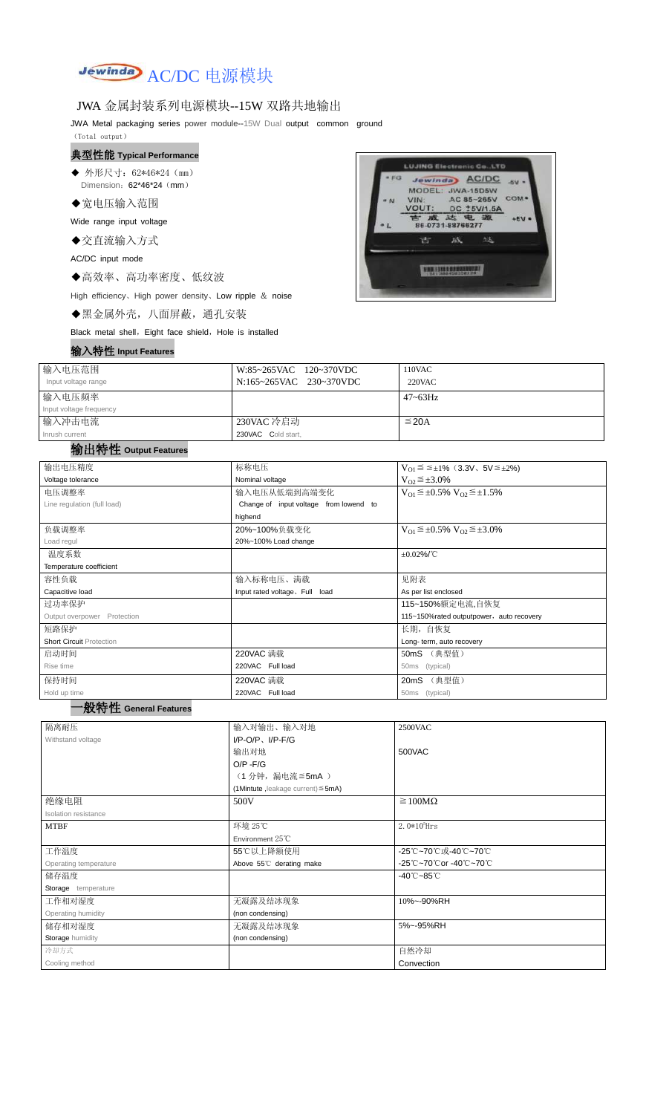

## JWA 金属封装系列电源模块--15W 双路共地输出

JWA Metal packaging series power module--15W Dual output common ground

- ◆ 外形尺寸: 62\*46\*24 (mm) Dimension: 62\*46\*24 (mm)
- ◆宽电压输入范围

(Total output)

#### 典型性能 **Typical Performance**

Wide range input voltage

◆交直流输入方式

AC/DC input mode

◆高效率、高功率密度、低纹波

High efficiency、High power density、Low ripple & noise

◆黑金属外壳,八面屏蔽,通孔安装

Black metal shell, Eight face shield, Hole is installed

## 输入特性 **Input Features**



| 输入电压范围<br>Input voltage range  | W:85~265VAC 120~370VDC<br>N:165~265VAC 230~370VDC | 110VAC<br>$220$ VAC |
|--------------------------------|---------------------------------------------------|---------------------|
| 输入电压频率                         |                                                   | $47 - 63$ Hz        |
| Input voltage frequency        |                                                   |                     |
| 输入冲击电流                         | 230VAC 冷启动                                        | $\leq$ 20A          |
| Inrush current<br>. <b>.</b> . | 230VAC Cold start,                                |                     |

#### 输出特性 **Output Features**

# 一般特性 **General Features**

| 输出电压精度                          | 标称电压                                   | $V_{01} \le \le \pm 1\%$ (3.3V, 5V $\le \pm 2\%$ )    |  |  |
|---------------------------------|----------------------------------------|-------------------------------------------------------|--|--|
| Voltage tolerance               | Nominal voltage                        | $V_{O2} \leq \pm 3.0\%$                               |  |  |
| 电压调整率                           | 输入电压从低端到高端变化                           | $V_{O1} \leq \pm 0.5\% \text{ V}_{O2} \leq \pm 1.5\%$ |  |  |
| Line regulation (full load)     | Change of input voltage from lowend to |                                                       |  |  |
|                                 | highend                                |                                                       |  |  |
| 负载调整率                           | 20%~100%负载变化                           | $V_{O1} \leq \pm 0.5\% \text{ V}_{O2} \leq \pm 3.0\%$ |  |  |
| Load regul                      | 20%~100% Load change                   |                                                       |  |  |
| 温度系数                            |                                        | $\pm 0.02\%$ /°C                                      |  |  |
| Temperature coefficient         |                                        |                                                       |  |  |
| 容性负载                            | 输入标称电压、满载                              | 见附表                                                   |  |  |
| Capacitive load                 | Input rated voltage, Full load         | As per list enclosed                                  |  |  |
| 过功率保护                           |                                        | 115~150%额定电流,自恢复                                      |  |  |
| Output overpower<br>Protection  |                                        | 115~150%rated outputpower, auto recovery              |  |  |
| 短路保护                            |                                        | 长期, 自恢复                                               |  |  |
| <b>Short Circuit Protection</b> |                                        | Long- term, auto recovery                             |  |  |
| 启动时间                            | 220VAC 满载                              | 50mS (典型值)                                            |  |  |
| Rise time                       | 220VAC Full load                       | (typical)<br>50 <sub>ms</sub>                         |  |  |
| 保持时间                            | 220VAC 满载                              | 20mS (典型值)                                            |  |  |
| Hold up time                    | 220VAC Full load                       | (typical)<br>50 <sub>ms</sub>                         |  |  |
|                                 |                                        |                                                       |  |  |

| 隔离耐压                  | 输入对输出、输入对地                              | 2500VAC                         |
|-----------------------|-----------------------------------------|---------------------------------|
| Withstand voltage     | $I/P$ -O/P, $I/P$ -F/G                  |                                 |
|                       | 输出对地                                    | 500VAC                          |
|                       | $O/P - F/G$                             |                                 |
|                       | (1分钟,漏电流 ≦ 5mA)                         |                                 |
|                       | (1Mintute, leakage current) $\leq$ 5mA) |                                 |
| 绝缘电阻                  | 500V                                    | $\geq 100M\Omega$               |
| Isolation resistance  |                                         |                                 |
| <b>MTBF</b>           | 环境 25℃                                  | $2.0*10^5$ Hrs                  |
|                       | Environment $25^{\circ}$ C              |                                 |
| 工作温度                  | 55℃以上降额使用                               | -25℃~70℃或-40℃~70℃               |
| Operating temperature | Above 55°C derating make                | -25℃~70℃or -40℃~70℃             |
| 储存温度                  |                                         | $-40^{\circ}$ C $-85^{\circ}$ C |
| Storage temperature   |                                         |                                 |
| 工作相对湿度                | 无凝露及结冰现象                                | 10%~-90%RH                      |
| Operating humidity    | (non condensing)                        |                                 |
| 储存相对湿度                | 无凝露及结冰现象                                | 5%~-95%RH                       |
| Storage humidity      | (non condensing)                        |                                 |
| 冷却方式                  |                                         | 自然冷却                            |
| Cooling method        |                                         | Convection                      |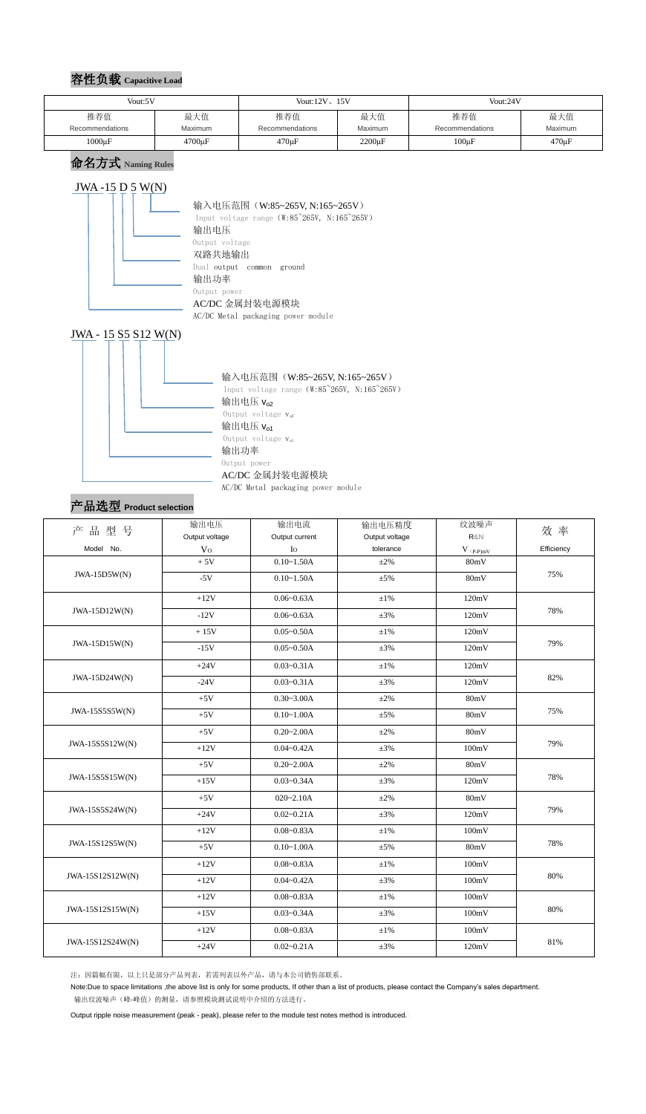## 容性负载 **Capacitive Load**

命名方式 **Naming Rules**

## $JWA - 15 D 5 W(N)$



#### 输入电压范围 (W:85~265V, N:165~265V)

Input voltage range (W:85~265V, N:165~265V) 输出电压 Output voltage 双路共地输出 Dual output common ground 输出功率 Output power AC/DC 金属封装电源模块 AC/DC Metal packaging power module

### 输入电压范围(W:85~265V, N:165~265V) Input voltage range (W:85~265V, N:165~265V) 输出电压 $v_{02}$ Output voltage  $v_{02}$ 输出电压 $V_{01}$ Output voltage  $v_{o1}$

#### JWA - 15 S5 S12 W(N)



#### AC/DC 金属封装电源模块

AC/DC Metal packaging power module

## 产品选型 **Product selection**

| 产品型号             | 输出电压           | 输出电流           | 输出电压精度         | 纹波噪声             | 效率         |  |
|------------------|----------------|----------------|----------------|------------------|------------|--|
|                  | Output voltage | Output current | Output voltage | R&N              |            |  |
| Model No.        | V <sub>O</sub> | $I_{\rm O}$    | tolerance      | $V$ $_{(P-P)mV}$ | Efficiency |  |
| $JWA-15D5W(N)$   | $+5V$          | $0.10 - 1.50A$ | $\pm 2\%$      | 80mV             | 75%        |  |
|                  | $-5V$          | $0.10 - 1.50A$ | $\pm 5\%$      | 80mV             |            |  |
| JWA-15D12W(N)    | $+12V$         | $0.06 - 0.63A$ | $±1\%$         | 120mV            | 78%        |  |
|                  | $-12V$         | $0.06 - 0.63A$ | $\pm 3\%$      | 120mV            |            |  |
|                  | $+15V$         | $0.05 - 0.50A$ | $±1\%$         | 120mV            |            |  |
| JWA-15D15W(N)    | $-15V$         | $0.05 - 0.50A$ | $\pm 3\%$      | 120mV            | 79%        |  |
|                  | $+24V$         | $0.03 - 0.31A$ | $\pm1\%$       | 120mV            |            |  |
| JWA-15D24W(N)    | $-24V$         | $0.03 - 0.31A$ | $\pm 3\%$      | 120mV            | 82%        |  |
|                  | $+5V$          | $0.30 - 3.00A$ | $\pm 2\%$      | 80mV             | 75%        |  |
| JWA-15S5S5W(N)   | $+5V$          | $0.10 - 1.00A$ | $\pm 5\%$      | 80mV             |            |  |
|                  | $+5V$          | $0.20 - 2.00A$ | $\pm 2\%$      | 80mV             | 79%        |  |
| JWA-15S5S12W(N)  | $+12V$         | $0.04 - 0.42A$ | $\pm 3\%$      | 100mV            |            |  |
|                  | $+5V$          | $0.20 - 2.00A$ | $\pm 2\%$      | 80mV             |            |  |
| JWA-15S5S15W(N)  | $+15V$         | $0.03 - 0.34A$ | $\pm 3\%$      | 120mV            | 78%        |  |
|                  | $+5V$          | $020 - 2.10A$  | $\pm 2\%$      | 80mV             |            |  |
| JWA-15S5S24W(N)  | $+24V$         | $0.02 - 0.21A$ | $\pm 3\%$      | 120mV            | 79%        |  |
|                  | $+12V$         | $0.08 - 0.83A$ | $\pm 1\%$      | 100mV            |            |  |
| JWA-15S12S5W(N)  | $+5V$          | $0.10 - 1.00A$ | $\pm 5\%$      | 80mV             | 78%        |  |
| JWA-15S12S12W(N) | $+12V$         | $0.08 - 0.83A$ | $\pm1\%$       | 100mV            | $80\%$     |  |
|                  | $+12V$         | $0.04 - 0.42A$ | $\pm 3\%$      | 100mV            |            |  |
| JWA-15S12S15W(N) | $+12V$         | $0.08 - 0.83A$ | $\pm1\%$       | 100mV            |            |  |
|                  | $+15V$         | $0.03 - 0.34A$ | $\pm 3\%$      | 100mV            | 80%        |  |
|                  | $+12V$         | $0.08 - 0.83A$ | $\pm 1\%$      | 100mV            |            |  |
| JWA-15S12S24W(N) | $+24V$         | $0.02 - 0.21A$ | $\pm 3\%$      | 120mV            | 81%        |  |

注:因篇幅有限,以上只是部分产品列表,若需列表以外产品,请与本公司销售部联系。

Note:Due to space limitations ,the above list is only for some products, If other than a list of products, please contact the Company's sales department. 输出纹波噪声(峰-峰值)的测量,请参照模块测试说明中介绍的方法进行。

Output ripple noise measurement (peak - peak), please refer to the module test notes method is introduced.

| Vout:5V         |                | Vout: $12V$ , $15V$ |                | Vout:24V        |             |  |
|-----------------|----------------|---------------------|----------------|-----------------|-------------|--|
| 推荐值             | 最大值            | 推荐值                 | 最大值            | 推荐值             | 最大值         |  |
| Recommendations | <b>Maximum</b> | Recommendations     | <b>Maximum</b> | Recommendations | Maximum     |  |
| $1000 \mu F$    | $4700 \mu F$   | $470 \mu F$         | $2200 \mu F$   | $100\mu F$      | $470 \mu F$ |  |